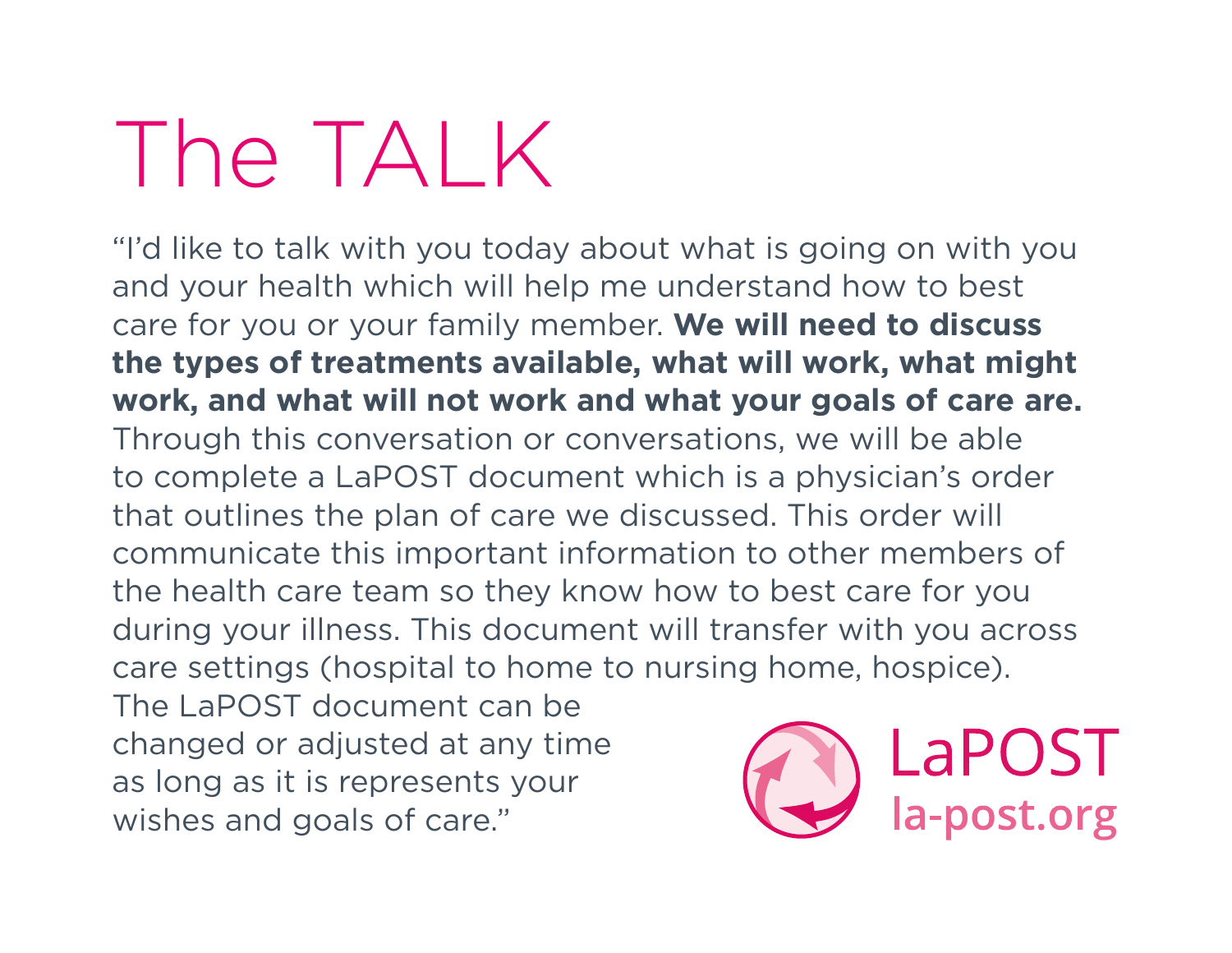## The TAI K

"I'd like to talk with you today about what is going on with you and your health which will help me understand how to best care for you or your family member. **We will need to discuss the types of treatments available, what will work, what might work, and what will not work and what your goals of care are.** Through this conversation or conversations, we will be able to complete a LaPOST document which is a physician's order that outlines the plan of care we discussed. This order will communicate this important information to other members of the health care team so they know how to best care for you during your illness. This document will transfer with you across care settings (hospital to home to nursing home, hospice).

The LaPOST document can be changed or adjusted at any time as long as it is represents your wishes and goals of care."